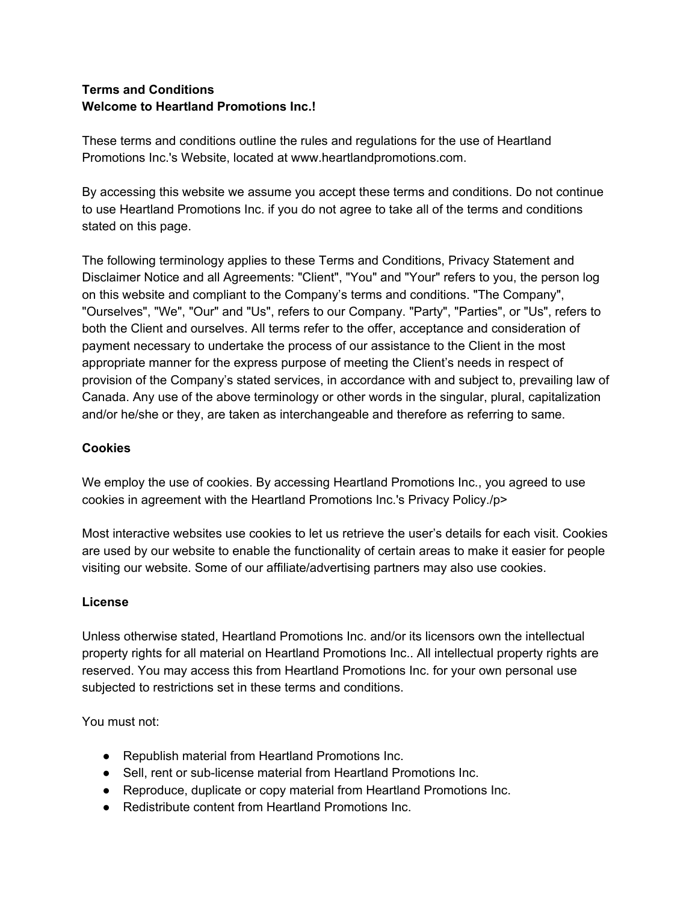# **Terms and Conditions Welcome to Heartland Promotions Inc.!**

These terms and conditions outline the rules and regulations for the use of Heartland Promotions Inc.'s Website, located at www.heartlandpromotions.com.

By accessing this website we assume you accept these terms and conditions. Do not continue to use Heartland Promotions Inc. if you do not agree to take all of the terms and conditions stated on this page.

The following terminology applies to these Terms and Conditions, Privacy Statement and Disclaimer Notice and all Agreements: "Client", "You" and "Your" refers to you, the person log on this website and compliant to the Company's terms and conditions. "The Company", "Ourselves", "We", "Our" and "Us", refers to our Company. "Party", "Parties", or "Us", refers to both the Client and ourselves. All terms refer to the offer, acceptance and consideration of payment necessary to undertake the process of our assistance to the Client in the most appropriate manner for the express purpose of meeting the Client's needs in respect of provision of the Company's stated services, in accordance with and subject to, prevailing law of Canada. Any use of the above terminology or other words in the singular, plural, capitalization and/or he/she or they, are taken as interchangeable and therefore as referring to same.

# **Cookies**

We employ the use of cookies. By accessing Heartland Promotions Inc., you agreed to use cookies in agreement with the Heartland Promotions Inc.'s Privacy Policy./p>

Most interactive websites use cookies to let us retrieve the user's details for each visit. Cookies are used by our website to enable the functionality of certain areas to make it easier for people visiting our website. Some of our affiliate/advertising partners may also use cookies.

# **License**

Unless otherwise stated, Heartland Promotions Inc. and/or its licensors own the intellectual property rights for all material on Heartland Promotions Inc.. All intellectual property rights are reserved. You may access this from Heartland Promotions Inc. for your own personal use subjected to restrictions set in these terms and conditions.

You must not:

- Republish material from Heartland Promotions Inc.
- Sell, rent or sub-license material from Heartland Promotions Inc.
- Reproduce, duplicate or copy material from Heartland Promotions Inc.
- Redistribute content from Heartland Promotions Inc.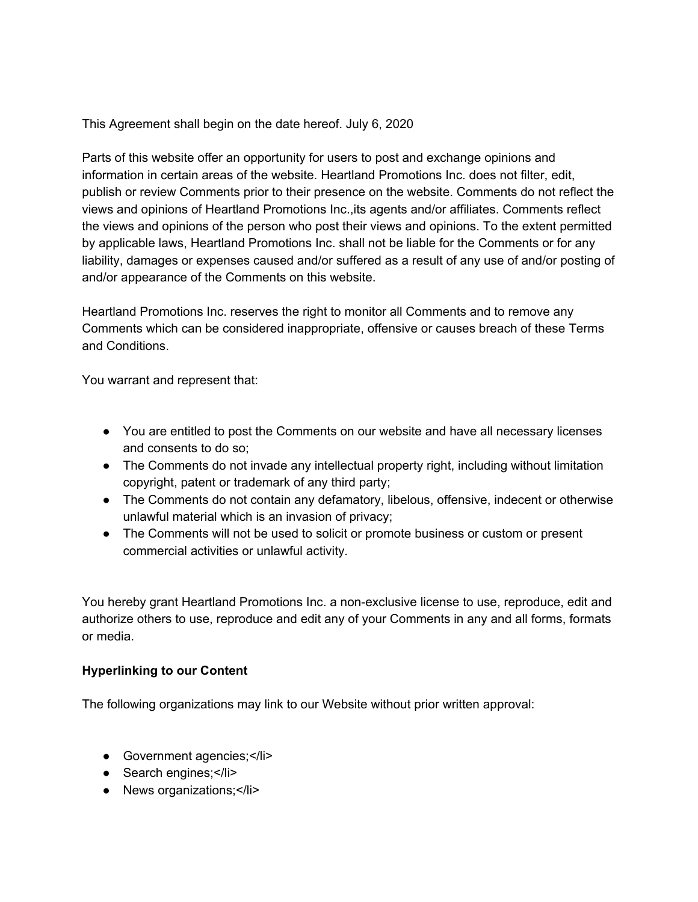This Agreement shall begin on the date hereof. July 6, 2020

Parts of this website offer an opportunity for users to post and exchange opinions and information in certain areas of the website. Heartland Promotions Inc. does not filter, edit, publish or review Comments prior to their presence on the website. Comments do not reflect the views and opinions of Heartland Promotions Inc.,its agents and/or affiliates. Comments reflect the views and opinions of the person who post their views and opinions. To the extent permitted by applicable laws, Heartland Promotions Inc. shall not be liable for the Comments or for any liability, damages or expenses caused and/or suffered as a result of any use of and/or posting of and/or appearance of the Comments on this website.

Heartland Promotions Inc. reserves the right to monitor all Comments and to remove any Comments which can be considered inappropriate, offensive or causes breach of these Terms and Conditions.

You warrant and represent that:

- You are entitled to post the Comments on our website and have all necessary licenses and consents to do so;
- The Comments do not invade any intellectual property right, including without limitation copyright, patent or trademark of any third party;
- The Comments do not contain any defamatory, libelous, offensive, indecent or otherwise unlawful material which is an invasion of privacy;
- The Comments will not be used to solicit or promote business or custom or present commercial activities or unlawful activity.

You hereby grant Heartland Promotions Inc. a non-exclusive license to use, reproduce, edit and authorize others to use, reproduce and edit any of your Comments in any and all forms, formats or media.

# **Hyperlinking to our Content**

The following organizations may link to our Website without prior written approval:

- Government agencies;</li>
- Search engines;</li>
- News organizations;</li>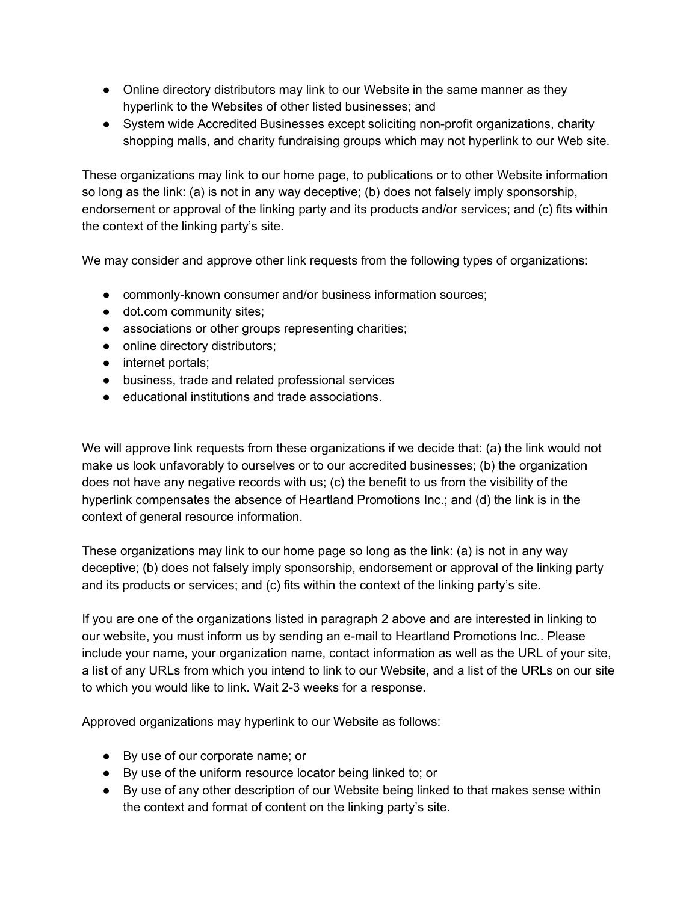- Online directory distributors may link to our Website in the same manner as they hyperlink to the Websites of other listed businesses; and
- System wide Accredited Businesses except soliciting non-profit organizations, charity shopping malls, and charity fundraising groups which may not hyperlink to our Web site.

These organizations may link to our home page, to publications or to other Website information so long as the link: (a) is not in any way deceptive; (b) does not falsely imply sponsorship, endorsement or approval of the linking party and its products and/or services; and (c) fits within the context of the linking party's site.

We may consider and approve other link requests from the following types of organizations:

- commonly-known consumer and/or business information sources;
- dot.com community sites;
- associations or other groups representing charities;
- online directory distributors;
- internet portals;
- business, trade and related professional services
- educational institutions and trade associations.

We will approve link requests from these organizations if we decide that: (a) the link would not make us look unfavorably to ourselves or to our accredited businesses; (b) the organization does not have any negative records with us; (c) the benefit to us from the visibility of the hyperlink compensates the absence of Heartland Promotions Inc.; and (d) the link is in the context of general resource information.

These organizations may link to our home page so long as the link: (a) is not in any way deceptive; (b) does not falsely imply sponsorship, endorsement or approval of the linking party and its products or services; and (c) fits within the context of the linking party's site.

If you are one of the organizations listed in paragraph 2 above and are interested in linking to our website, you must inform us by sending an e-mail to Heartland Promotions Inc.. Please include your name, your organization name, contact information as well as the URL of your site, a list of any URLs from which you intend to link to our Website, and a list of the URLs on our site to which you would like to link. Wait 2-3 weeks for a response.

Approved organizations may hyperlink to our Website as follows:

- By use of our corporate name; or
- By use of the uniform resource locator being linked to; or
- By use of any other description of our Website being linked to that makes sense within the context and format of content on the linking party's site.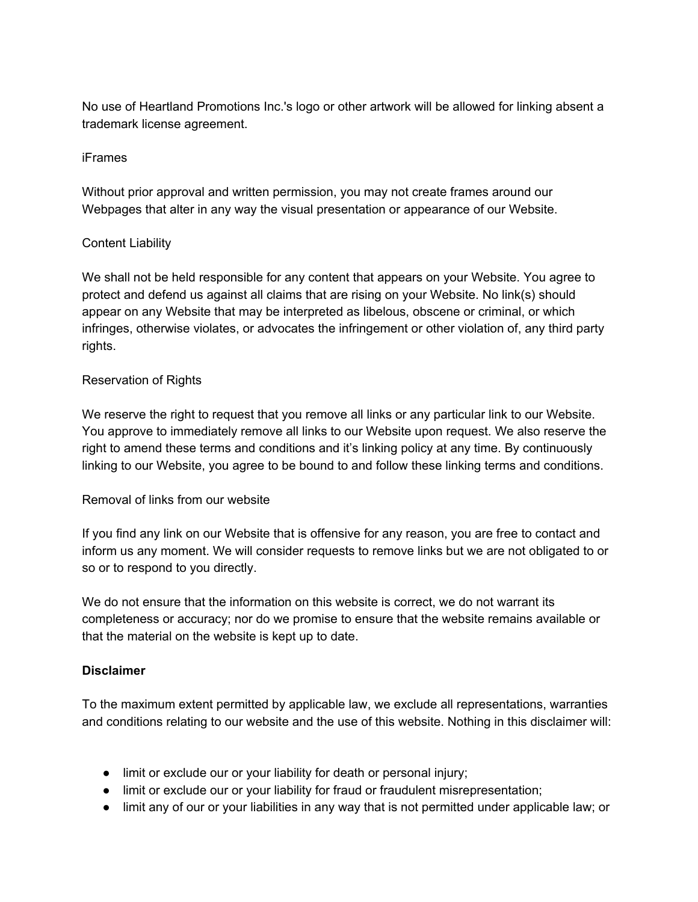No use of Heartland Promotions Inc.'s logo or other artwork will be allowed for linking absent a trademark license agreement.

#### iFrames

Without prior approval and written permission, you may not create frames around our Webpages that alter in any way the visual presentation or appearance of our Website.

### Content Liability

We shall not be held responsible for any content that appears on your Website. You agree to protect and defend us against all claims that are rising on your Website. No link(s) should appear on any Website that may be interpreted as libelous, obscene or criminal, or which infringes, otherwise violates, or advocates the infringement or other violation of, any third party rights.

### Reservation of Rights

We reserve the right to request that you remove all links or any particular link to our Website. You approve to immediately remove all links to our Website upon request. We also reserve the right to amend these terms and conditions and it's linking policy at any time. By continuously linking to our Website, you agree to be bound to and follow these linking terms and conditions.

#### Removal of links from our website

If you find any link on our Website that is offensive for any reason, you are free to contact and inform us any moment. We will consider requests to remove links but we are not obligated to or so or to respond to you directly.

We do not ensure that the information on this website is correct, we do not warrant its completeness or accuracy; nor do we promise to ensure that the website remains available or that the material on the website is kept up to date.

# **Disclaimer**

To the maximum extent permitted by applicable law, we exclude all representations, warranties and conditions relating to our website and the use of this website. Nothing in this disclaimer will:

- limit or exclude our or your liability for death or personal injury;
- limit or exclude our or your liability for fraud or fraudulent misrepresentation;
- limit any of our or your liabilities in any way that is not permitted under applicable law; or